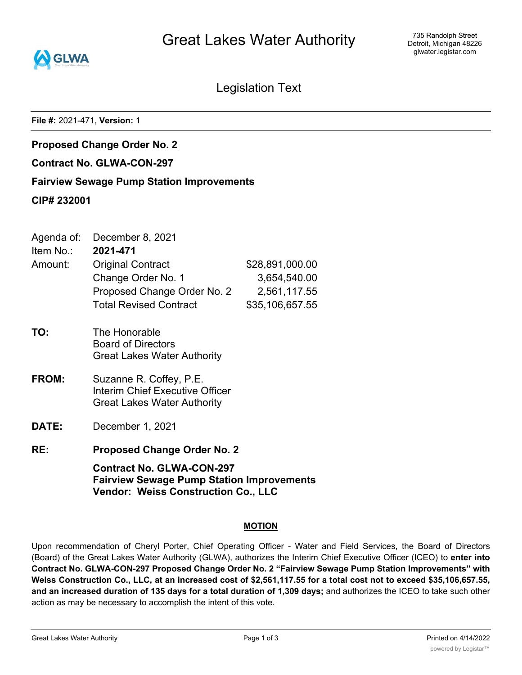

735 Randolph Street Detroit, Michigan 48226 glwater.legistar.com

Legislation Text

**File #:** 2021-471, **Version:** 1

**Proposed Change Order No. 2**

**Contract No. GLWA-CON-297**

**Fairview Sewage Pump Station Improvements**

**CIP# 232001**

|          | Agenda of: December 8, 2021 |
|----------|-----------------------------|
| Item No∴ | 2021-471                    |

| Amount: | <b>Original Contract</b>      | \$28,891,000.00 |
|---------|-------------------------------|-----------------|
|         | Change Order No. 1            | 3,654,540.00    |
|         | Proposed Change Order No. 2   | 2,561,117.55    |
|         | <b>Total Revised Contract</b> | \$35,106,657.55 |
|         |                               |                 |

- **TO:** The Honorable Board of Directors Great Lakes Water Authority
- **FROM:** Suzanne R. Coffey, P.E. Interim Chief Executive Officer Great Lakes Water Authority
- **DATE:** December 1, 2021
- **RE: Proposed Change Order No. 2**

**Contract No. GLWA-CON-297 Fairview Sewage Pump Station Improvements Vendor: Weiss Construction Co., LLC**

# **MOTION**

Upon recommendation of Cheryl Porter, Chief Operating Officer - Water and Field Services, the Board of Directors (Board) of the Great Lakes Water Authority (GLWA), authorizes the Interim Chief Executive Officer (ICEO) to **enter into Contract No. GLWA-CON-297 Proposed Change Order No. 2 "Fairview Sewage Pump Station Improvements" with** Weiss Construction Co., LLC, at an increased cost of \$2,561,117.55 for a total cost not to exceed \$35,106,657.55, **and an increased duration of 135 days for a total duration of 1,309 days;** and authorizes the ICEO to take such other action as may be necessary to accomplish the intent of this vote.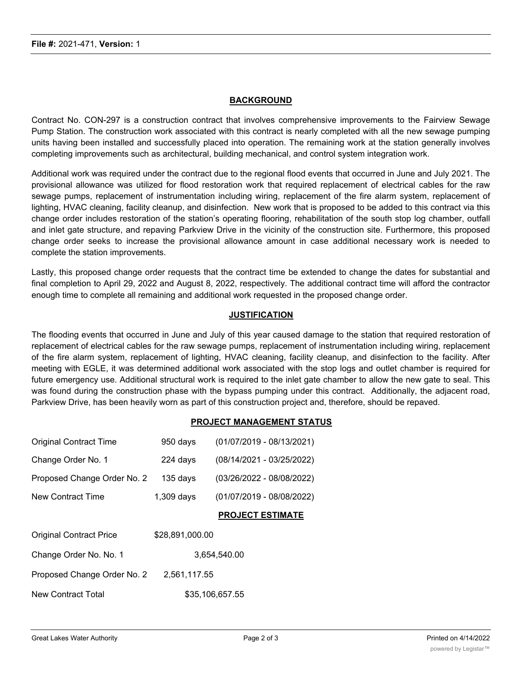# **BACKGROUND**

Contract No. CON-297 is a construction contract that involves comprehensive improvements to the Fairview Sewage Pump Station. The construction work associated with this contract is nearly completed with all the new sewage pumping units having been installed and successfully placed into operation. The remaining work at the station generally involves completing improvements such as architectural, building mechanical, and control system integration work.

Additional work was required under the contract due to the regional flood events that occurred in June and July 2021. The provisional allowance was utilized for flood restoration work that required replacement of electrical cables for the raw sewage pumps, replacement of instrumentation including wiring, replacement of the fire alarm system, replacement of lighting, HVAC cleaning, facility cleanup, and disinfection. New work that is proposed to be added to this contract via this change order includes restoration of the station's operating flooring, rehabilitation of the south stop log chamber, outfall and inlet gate structure, and repaving Parkview Drive in the vicinity of the construction site. Furthermore, this proposed change order seeks to increase the provisional allowance amount in case additional necessary work is needed to complete the station improvements.

Lastly, this proposed change order requests that the contract time be extended to change the dates for substantial and final completion to April 29, 2022 and August 8, 2022, respectively. The additional contract time will afford the contractor enough time to complete all remaining and additional work requested in the proposed change order.

### **JUSTIFICATION**

The flooding events that occurred in June and July of this year caused damage to the station that required restoration of replacement of electrical cables for the raw sewage pumps, replacement of instrumentation including wiring, replacement of the fire alarm system, replacement of lighting, HVAC cleaning, facility cleanup, and disinfection to the facility. After meeting with EGLE, it was determined additional work associated with the stop logs and outlet chamber is required for future emergency use. Additional structural work is required to the inlet gate chamber to allow the new gate to seal. This was found during the construction phase with the bypass pumping under this contract. Additionally, the adjacent road, Parkview Drive, has been heavily worn as part of this construction project and, therefore, should be repaved.

#### **PROJECT MANAGEMENT STATUS**

| <b>Original Contract Time</b>  | 950 days        | (01/07/2019 - 08/13/2021) |
|--------------------------------|-----------------|---------------------------|
| Change Order No. 1             | 224 days        | (08/14/2021 - 03/25/2022) |
| Proposed Change Order No. 2    | $135$ days      | (03/26/2022 - 08/08/2022) |
| New Contract Time              | $1,309$ days    | (01/07/2019 - 08/08/2022) |
|                                |                 | <b>PROJECT ESTIMATE</b>   |
| <b>Original Contract Price</b> | \$28,891,000.00 |                           |
| Change Order No. No. 1         |                 | 3.654.540.00              |
| Proposed Change Order No. 2    | 2,561,117.55    |                           |
| <b>New Contract Total</b>      |                 | \$35.106.657.55           |